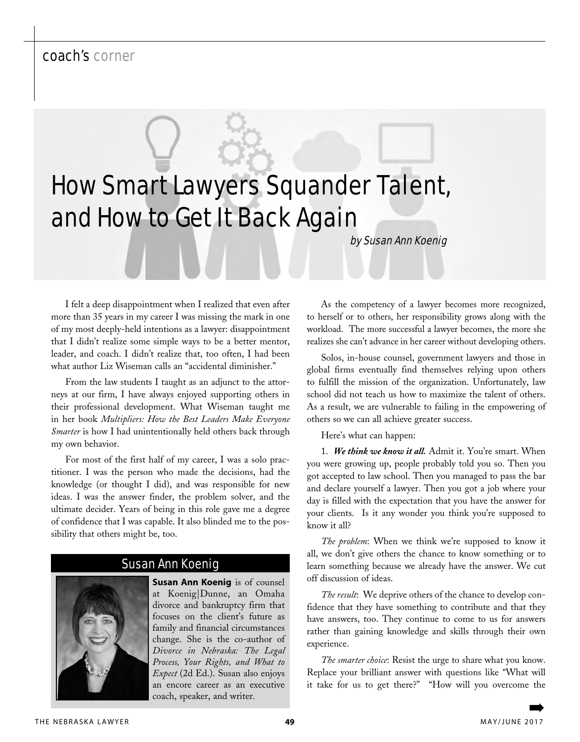## coach's corner

# How Smart Lawyers Squander Talent, and How to Get It Back Again

by Susan Ann Koenig

I felt a deep disappointment when I realized that even after more than 35 years in my career I was missing the mark in one of my most deeply-held intentions as a lawyer: disappointment that I didn't realize some simple ways to be a better mentor, leader, and coach. I didn't realize that, too often, I had been what author Liz Wiseman calls an "accidental diminisher."

From the law students I taught as an adjunct to the attorneys at our firm, I have always enjoyed supporting others in their professional development. What Wiseman taught me in her book *Multipliers: How the Best Leaders Make Everyone Smarter* is how I had unintentionally held others back through my own behavior.

For most of the first half of my career, I was a solo practitioner. I was the person who made the decisions, had the knowledge (or thought I did), and was responsible for new ideas. I was the answer finder, the problem solver, and the ultimate decider. Years of being in this role gave me a degree of confidence that I was capable. It also blinded me to the possibility that others might be, too.

#### Susan Ann Koenig



**Susan Ann Koenig** is of counsel at Koenig|Dunne, an Omaha divorce and bankruptcy firm that focuses on the client's future as family and financial circumstances change. She is the co-author of *Divorce in Nebraska: The Legal Process, Your Rights, and What to Expect* (2d Ed.). Susan also enjoys an encore career as an executive coach, speaker, and writer.

As the competency of a lawyer becomes more recognized, to herself or to others, her responsibility grows along with the workload. The more successful a lawyer becomes, the more she realizes she can't advance in her career without developing others.

Solos, in-house counsel, government lawyers and those in global firms eventually find themselves relying upon others to fulfill the mission of the organization. Unfortunately, law school did not teach us how to maximize the talent of others. As a result, we are vulnerable to failing in the empowering of others so we can all achieve greater success.

Here's what can happen:

1. *We think we know it all.* Admit it. You're smart. When you were growing up, people probably told you so. Then you got accepted to law school. Then you managed to pass the bar and declare yourself a lawyer. Then you got a job where your day is filled with the expectation that you have the answer for your clients. Is it any wonder you think you're supposed to know it all?

*The problem*: When we think we're supposed to know it all, we don't give others the chance to know something or to learn something because we already have the answer. We cut off discussion of ideas.

*The result*: We deprive others of the chance to develop confidence that they have something to contribute and that they have answers, too. They continue to come to us for answers rather than gaining knowledge and skills through their own experience.

*The smarter choice*: Resist the urge to share what you know. Replace your brilliant answer with questions like "What will it take for us to get there?" "How will you overcome the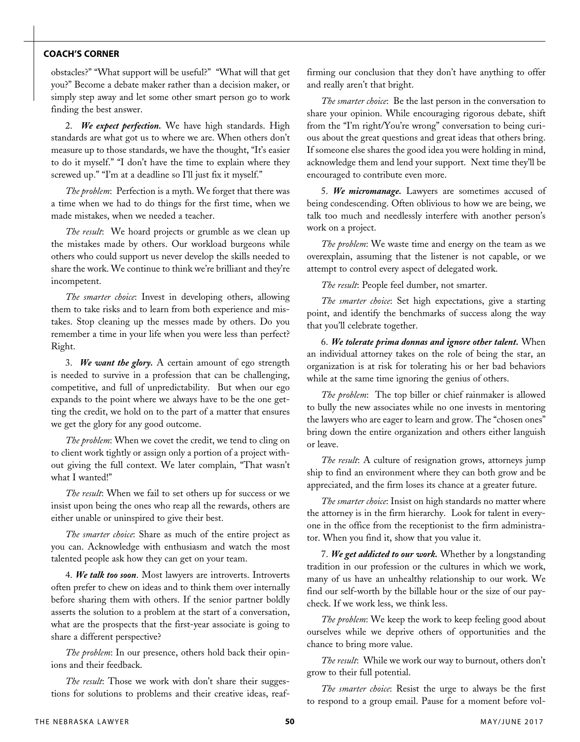#### **COACH'S CORNER**

obstacles?" "What support will be useful?" "What will that get you?" Become a debate maker rather than a decision maker, or simply step away and let some other smart person go to work finding the best answer.

2. *We expect perfection.* We have high standards. High standards are what got us to where we are. When others don't measure up to those standards, we have the thought, "It's easier to do it myself." "I don't have the time to explain where they screwed up." "I'm at a deadline so I'll just fix it myself."

*The problem*: Perfection is a myth. We forget that there was a time when we had to do things for the first time, when we made mistakes, when we needed a teacher.

*The result*: We hoard projects or grumble as we clean up the mistakes made by others. Our workload burgeons while others who could support us never develop the skills needed to share the work. We continue to think we're brilliant and they're incompetent.

*The smarter choice*: Invest in developing others, allowing them to take risks and to learn from both experience and mistakes. Stop cleaning up the messes made by others. Do you remember a time in your life when you were less than perfect? Right.

3. *We want the glory.* A certain amount of ego strength is needed to survive in a profession that can be challenging, competitive, and full of unpredictability. But when our ego expands to the point where we always have to be the one getting the credit, we hold on to the part of a matter that ensures we get the glory for any good outcome.

*The problem*: When we covet the credit, we tend to cling on to client work tightly or assign only a portion of a project without giving the full context. We later complain, "That wasn't what I wanted!"

*The result*: When we fail to set others up for success or we insist upon being the ones who reap all the rewards, others are either unable or uninspired to give their best.

*The smarter choice*: Share as much of the entire project as you can. Acknowledge with enthusiasm and watch the most talented people ask how they can get on your team.

4. *We talk too soon*. Most lawyers are introverts. Introverts often prefer to chew on ideas and to think them over internally before sharing them with others. If the senior partner boldly asserts the solution to a problem at the start of a conversation, what are the prospects that the first-year associate is going to share a different perspective?

*The problem*: In our presence, others hold back their opinions and their feedback.

*The result*: Those we work with don't share their suggestions for solutions to problems and their creative ideas, reaffirming our conclusion that they don't have anything to offer and really aren't that bright.

*The smarter choice*: Be the last person in the conversation to share your opinion. While encouraging rigorous debate, shift from the "I'm right/You're wrong" conversation to being curious about the great questions and great ideas that others bring. If someone else shares the good idea you were holding in mind, acknowledge them and lend your support. Next time they'll be encouraged to contribute even more.

5. *We micromanage.* Lawyers are sometimes accused of being condescending. Often oblivious to how we are being, we talk too much and needlessly interfere with another person's work on a project.

*The problem*: We waste time and energy on the team as we overexplain, assuming that the listener is not capable, or we attempt to control every aspect of delegated work.

*The result*: People feel dumber, not smarter.

*The smarter choice*: Set high expectations, give a starting point, and identify the benchmarks of success along the way that you'll celebrate together.

6. *We tolerate prima donnas and ignore other talent.* When an individual attorney takes on the role of being the star, an organization is at risk for tolerating his or her bad behaviors while at the same time ignoring the genius of others.

*The problem*: The top biller or chief rainmaker is allowed to bully the new associates while no one invests in mentoring the lawyers who are eager to learn and grow. The "chosen ones" bring down the entire organization and others either languish or leave.

*The result*: A culture of resignation grows, attorneys jump ship to find an environment where they can both grow and be appreciated, and the firm loses its chance at a greater future.

*The smarter choice*: Insist on high standards no matter where the attorney is in the firm hierarchy. Look for talent in everyone in the office from the receptionist to the firm administrator. When you find it, show that you value it.

7. *We get addicted to our work.* Whether by a longstanding tradition in our profession or the cultures in which we work, many of us have an unhealthy relationship to our work. We find our self-worth by the billable hour or the size of our paycheck. If we work less, we think less.

*The problem*: We keep the work to keep feeling good about ourselves while we deprive others of opportunities and the chance to bring more value.

*The result*: While we work our way to burnout, others don't grow to their full potential.

*The smarter choice*: Resist the urge to always be the first to respond to a group email. Pause for a moment before vol-